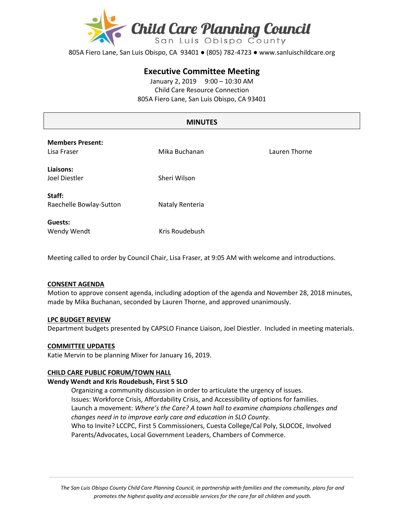

805A Fiero Lane, San Luis Obispo, CA 93401 ● (805) 782-4723 ● www.sanluischildcare.org

# **Executive Committee Meeting**

January 2, 2019 9:00 – 10:30 AM Child Care Resource Connection 805A Fiero Lane, San Luis Obispo, CA 93401

# **MINUTES**

| <b>Members Present:</b><br>Lisa Fraser | Mika Buchanan   | Lauren Thorne |
|----------------------------------------|-----------------|---------------|
| Liaisons:<br>Joel Diestler             | Sheri Wilson    |               |
| Staff:<br>Raechelle Bowlay-Sutton      | Nataly Renteria |               |
| Guests:<br>Wendy Wendt                 | Kris Roudebush  |               |

Meeting called to order by Council Chair, Lisa Fraser, at 9:05 AM with welcome and introductions.

## **CONSENT AGENDA**

Motion to approve consent agenda, including adoption of the agenda and November 28, 2018 minutes, made by Mika Buchanan, seconded by Lauren Thorne, and approved unanimously.

## **LPC BUDGET REVIEW**

Department budgets presented by CAPSLO Finance Liaison, Joel Diestler. Included in meeting materials.

#### **COMMITTEE UPDATES**

Katie Mervin to be planning Mixer for January 16, 2019.

## **CHILD CARE PUBLIC FORUM/TOWN HALL**

#### **Wendy Wendt and Kris Roudebush, First 5 SLO**

Organizing a community discussion in order to articulate the urgency of issues. Issues: Workforce Crisis, Affordability Crisis, and Accessibility of options for families. Launch a movement: *Where's the Care? A town hall to examine champions challenges and changes need in to improve early care and education in SLO County.* Who to Invite? LCCPC, First 5 Commissioners, Cuesta College/Cal Poly, SLOCOE, Involved Parents/Advocates, Local Government Leaders, Chambers of Commerce.